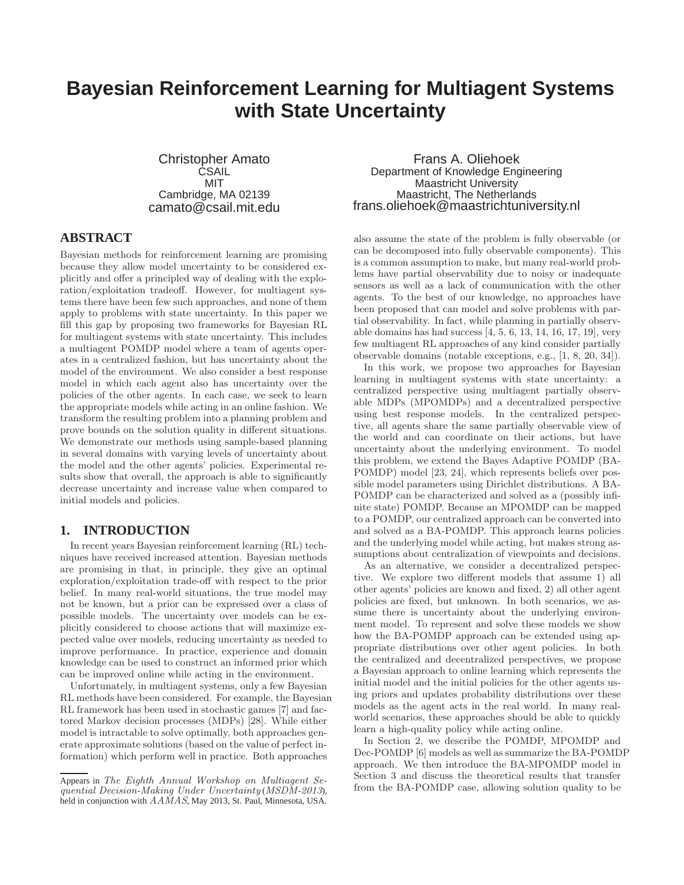# **Bayesian Reinforcement Learning for Multiagent Systems with State Uncertainty**

Christopher Amato **CSAIL** MIT Cambridge, MA 02139 camato@csail.mit.edu

# **ABSTRACT**

Bayesian methods for reinforcement learning are promising because they allow model uncertainty to be considered explicitly and offer a principled way of dealing with the exploration/exploitation tradeoff. However, for multiagent systems there have been few such approaches, and none of them apply to problems with state uncertainty. In this paper we fill this gap by proposing two frameworks for Bayesian RL for multiagent systems with state uncertainty. This includes a multiagent POMDP model where a team of agents operates in a centralized fashion, but has uncertainty about the model of the environment. We also consider a best response model in which each agent also has uncertainty over the policies of the other agents. In each case, we seek to learn the appropriate models while acting in an online fashion. We transform the resulting problem into a planning problem and prove bounds on the solution quality in different situations. We demonstrate our methods using sample-based planning in several domains with varying levels of uncertainty about the model and the other agents' policies. Experimental results show that overall, the approach is able to significantly decrease uncertainty and increase value when compared to initial models and policies.

# **1. INTRODUCTION**

In recent years Bayesian reinforcement learning (RL) techniques have received increased attention. Bayesian methods are promising in that, in principle, they give an optimal exploration/exploitation trade-off with respect to the prior belief. In many real-world situations, the true model may not be known, but a prior can be expressed over a class of possible models. The uncertainty over models can be explicitly considered to choose actions that will maximize expected value over models, reducing uncertainty as needed to improve performance. In practice, experience and domain knowledge can be used to construct an informed prior which can be improved online while acting in the environment.

Unfortunately, in multiagent systems, only a few Bayesian RL methods have been considered. For example, the Bayesian RL framework has been used in stochastic games [7] and factored Markov decision processes (MDPs) [28]. While either model is intractable to solve optimally, both approaches generate approximate solutions (based on the value of perfect information) which perform well in practice. Both approaches

Frans A. Oliehoek Department of Knowledge Engineering Maastricht University Maastricht, The Netherlands frans.oliehoek@maastrichtuniversity.nl

also assume the state of the problem is fully observable (or can be decomposed into fully observable components). This is a common assumption to make, but many real-world problems have partial observability due to noisy or inadequate sensors as well as a lack of communication with the other agents. To the best of our knowledge, no approaches have been proposed that can model and solve problems with partial observability. In fact, while planning in partially observable domains has had success  $[4, 5, 6, 13, 14, 16, 17, 19]$ , very few multiagent RL approaches of any kind consider partially observable domains (notable exceptions, e.g., [1, 8, 20, 34]).

In this work, we propose two approaches for Bayesian learning in multiagent systems with state uncertainty: a centralized perspective using multiagent partially observable MDPs (MPOMDPs) and a decentralized perspective using best response models. In the centralized perspective, all agents share the same partially observable view of the world and can coordinate on their actions, but have uncertainty about the underlying environment. To model this problem, we extend the Bayes Adaptive POMDP (BA-POMDP) model [23, 24], which represents beliefs over possible model parameters using Dirichlet distributions. A BA-POMDP can be characterized and solved as a (possibly infinite state) POMDP. Because an MPOMDP can be mapped to a POMDP, our centralized approach can be converted into and solved as a BA-POMDP. This approach learns policies and the underlying model while acting, but makes strong assumptions about centralization of viewpoints and decisions.

As an alternative, we consider a decentralized perspective. We explore two different models that assume 1) all other agents' policies are known and fixed, 2) all other agent policies are fixed, but unknown. In both scenarios, we assume there is uncertainty about the underlying environment model. To represent and solve these models we show how the BA-POMDP approach can be extended using appropriate distributions over other agent policies. In both the centralized and decentralized perspectives, we propose a Bayesian approach to online learning which represents the initial model and the initial policies for the other agents using priors and updates probability distributions over these models as the agent acts in the real world. In many realworld scenarios, these approaches should be able to quickly learn a high-quality policy while acting online.

In Section 2, we describe the POMDP, MPOMDP and Dec-POMDP [6] models as well as summarize the BA-POMDP approach. We then introduce the BA-MPOMDP model in Section 3 and discuss the theoretical results that transfer from the BA-POMDP case, allowing solution quality to be

Appears in The Eighth Annual Workshop on Multiagent Sequential Decision-Making Under Uncertainty (MSDM-2013), held in conjunction with  $AAMAS$ , May 2013, St. Paul, Minnesota, USA.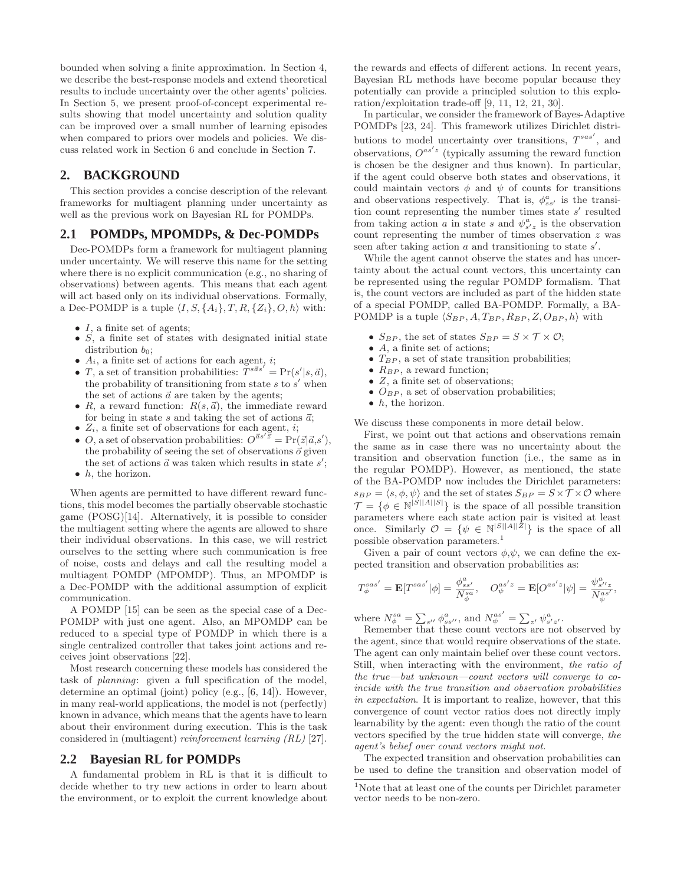bounded when solving a finite approximation. In Section 4, we describe the best-response models and extend theoretical results to include uncertainty over the other agents' policies. In Section 5, we present proof-of-concept experimental results showing that model uncertainty and solution quality can be improved over a small number of learning episodes when compared to priors over models and policies. We discuss related work in Section 6 and conclude in Section 7.

# **2. BACKGROUND**

This section provides a concise description of the relevant frameworks for multiagent planning under uncertainty as well as the previous work on Bayesian RL for POMDPs.

# **2.1 POMDPs, MPOMDPs, & Dec-POMDPs**

Dec-POMDPs form a framework for multiagent planning under uncertainty. We will reserve this name for the setting where there is no explicit communication (e.g., no sharing of observations) between agents. This means that each agent will act based only on its individual observations. Formally, a Dec-POMDP is a tuple  $\langle I, S, \{A_i\}, T, R, \{Z_i\}, O, h \rangle$  with:

- $I$ , a finite set of agents;
- $\dot{S}$ , a finite set of states with designated initial state distribution  $b_0$ ;
- $A_i$ , a finite set of actions for each agent, *i*;
- $T$ , a set of transition probabilities:  $T^{s\vec{a}s'} = Pr(s'|s, \vec{a})$ , the probability of transitioning from state  $s$  to  $s'$  when the set of actions  $\vec{a}$  are taken by the agents;
- R, a reward function:  $R(s, \vec{a})$ , the immediate reward for being in state  $s$  and taking the set of actions  $\vec{a}$ ;
- $Z_i$ , a finite set of observations for each agent, *i*;
- $Q$ , a set of observation probabilities:  $Q^{\vec{a}s' \vec{z}} = \Pr(\vec{z}|\vec{a}, s')$ , the probability of seeing the set of observations  $\vec{o}$  given the set of actions  $\vec{a}$  was taken which results in state  $s'$ ;  $\bullet$  h, the horizon.

When agents are permitted to have different reward functions, this model becomes the partially observable stochastic game (POSG)[14]. Alternatively, it is possible to consider the multiagent setting where the agents are allowed to share their individual observations. In this case, we will restrict ourselves to the setting where such communication is free of noise, costs and delays and call the resulting model a multiagent POMDP (MPOMDP). Thus, an MPOMDP is a Dec-POMDP with the additional assumption of explicit communication.

A POMDP [15] can be seen as the special case of a Dec-POMDP with just one agent. Also, an MPOMDP can be reduced to a special type of POMDP in which there is a single centralized controller that takes joint actions and receives joint observations [22].

Most research concerning these models has considered the task of planning: given a full specification of the model, determine an optimal (joint) policy (e.g., [6, 14]). However, in many real-world applications, the model is not (perfectly) known in advance, which means that the agents have to learn about their environment during execution. This is the task considered in (multiagent) reinforcement learning (RL) [27].

# **2.2 Bayesian RL for POMDPs**

A fundamental problem in RL is that it is difficult to decide whether to try new actions in order to learn about the environment, or to exploit the current knowledge about the rewards and effects of different actions. In recent years, Bayesian RL methods have become popular because they potentially can provide a principled solution to this exploration/exploitation trade-off [9, 11, 12, 21, 30].

In particular, we consider the framework of Bayes-Adaptive POMDPs [23, 24]. This framework utilizes Dirichlet distributions to model uncertainty over transitions,  $T^{sas'}$ , and observations,  $O^{as'z}$  (typically assuming the reward function is chosen be the designer and thus known). In particular, if the agent could observe both states and observations, it could maintain vectors  $\phi$  and  $\psi$  of counts for transitions and observations respectively. That is,  $\phi_{ss'}^a$  is the transition count representing the number times state s' resulted from taking action a in state s and  $\psi_{s'z}^a$  is the observation count representing the number of times observation z was seen after taking action  $a$  and transitioning to state  $s'$ .

While the agent cannot observe the states and has uncertainty about the actual count vectors, this uncertainty can be represented using the regular POMDP formalism. That is, the count vectors are included as part of the hidden state of a special POMDP, called BA-POMDP. Formally, a BA-POMDP is a tuple  $\langle S_{BP}, A, T_{BP}, R_{BP}, Z, O_{BP}, h \rangle$  with

- $S_{BP}$ , the set of states  $S_{BP} = S \times T \times \mathcal{O}$ ;
- $\bullet$  A, a finite set of actions;
- $T_{BP}$ , a set of state transition probabilities;
- $R_{BP}$ , a reward function;
- $Z$ , a finite set of observations;
- $O_{BP}$ , a set of observation probabilities;
- $\bullet$  h, the horizon.

We discuss these components in more detail below.

First, we point out that actions and observations remain the same as in case there was no uncertainty about the transition and observation function (i.e., the same as in the regular POMDP). However, as mentioned, the state of the BA-POMDP now includes the Dirichlet parameters:  $s_{BP} = \langle s, \phi, \psi \rangle$  and the set of states  $S_{BP} = S \times T \times \mathcal{O}$  where  $\mathcal{T} = \{ \phi \in \mathbb{N}^{|S||A||S|} \}$  is the space of all possible transition parameters where each state action pair is visited at least once. Similarly  $\mathcal{O} = \{ \psi \in \mathbb{N}^{|S||A||\bar{Z}|} \}$  is the space of all possible observation parameters.<sup>1</sup>

Given a pair of count vectors  $\phi, \psi$ , we can define the expected transition and observation probabilities as:

$$
T^{sas'}_{\phi} = \mathbf{E}[T^{sas'}|\phi] = \frac{\phi^{a}_{ss'}}{N^{s}_{\phi}}, \quad O^{as'z}_{\psi} = \mathbf{E}[O^{as'z}|\psi] = \frac{\psi^{a}_{s''z}}{N^{a}_{\psi}},
$$

where  $N_{\phi}^{sa} = \sum_{s''} \phi_{ss''}^a$ , and  $N_{\psi}^{as'} = \sum_{z'} \psi_{s'z'}^a$ .

Remember that these count vectors are not observed by the agent, since that would require observations of the state. The agent can only maintain belief over these count vectors. Still, when interacting with the environment, the ratio of the true—but unknown—count vectors will converge to coincide with the true transition and observation probabilities in expectation. It is important to realize, however, that this convergence of count vector ratios does not directly imply learnability by the agent: even though the ratio of the count vectors specified by the true hidden state will converge, the agent's belief over count vectors might not.

The expected transition and observation probabilities can be used to define the transition and observation model of

<sup>1</sup>Note that at least one of the counts per Dirichlet parameter vector needs to be non-zero.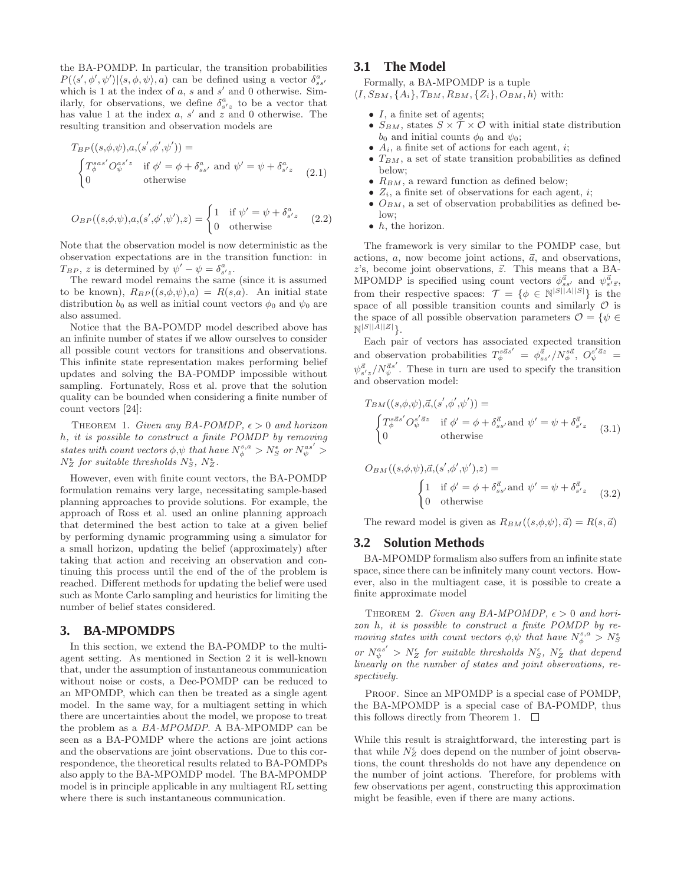the BA-POMDP. In particular, the transition probabilities  $P(\langle s', \phi', \psi' \rangle | \langle s, \phi, \psi \rangle, a)$  can be defined using a vector  $\delta_{ss'}^a$ which is 1 at the index of  $a$ ,  $s$  and  $s'$  and 0 otherwise. Similarly, for observations, we define  $\delta_{s'z}^a$  to be a vector that has value 1 at the index  $a, s'$  and  $z$  and 0 otherwise. The resulting transition and observation models are

$$
T_{BP}((s,\phi,\psi),a,(s',\phi',\psi')) =
$$
  
\n
$$
\begin{cases}\nT_{\phi}^{sas'}O_{\psi}^{as'z} & \text{if } \phi' = \phi + \delta_{ss'}^a \text{ and } \psi' = \psi + \delta_{s'z}^a \\
0 & \text{otherwise}\n\end{cases}
$$
\n(2.1)

$$
O_{BP}((s,\phi,\psi),a,(s',\phi',\psi'),z) = \begin{cases} 1 & \text{if } \psi' = \psi + \delta_{s'z}^a \\ 0 & \text{otherwise} \end{cases}
$$
 (2.2)

Note that the observation model is now deterministic as the observation expectations are in the transition function: in  $T_{BP}$ , z is determined by  $\psi' - \psi = \delta_{s'z}^a$ .

The reward model remains the same (since it is assumed to be known),  $R_{BP}((s,\phi,\psi),a) = R(s,a)$ . An initial state distribution  $b_0$  as well as initial count vectors  $\phi_0$  and  $\psi_0$  are also assumed.

Notice that the BA-POMDP model described above has an infinite number of states if we allow ourselves to consider all possible count vectors for transitions and observations. This infinite state representation makes performing belief updates and solving the BA-POMDP impossible without sampling. Fortunately, Ross et al. prove that the solution quality can be bounded when considering a finite number of count vectors [24]:

THEOREM 1. Given any BA-POMDP,  $\epsilon > 0$  and horizon h, it is possible to construct a finite POMDP by removing states with count vectors  $\phi, \psi$  that have  $N_{\phi}^{s,a} > N_{S}^{\epsilon}$  or  $N_{\psi}^{as'}$  $N_{Z}^{\epsilon}$  for suitable thresholds  $N_{S}^{\epsilon}$ ,  $N_{Z}^{\epsilon}$ .

However, even with finite count vectors, the BA-POMDP formulation remains very large, necessitating sample-based planning approaches to provide solutions. For example, the approach of Ross et al. used an online planning approach that determined the best action to take at a given belief by performing dynamic programming using a simulator for a small horizon, updating the belief (approximately) after taking that action and receiving an observation and continuing this process until the end of the of the problem is reached. Different methods for updating the belief were used such as Monte Carlo sampling and heuristics for limiting the number of belief states considered.

#### **3. BA-MPOMDPS**

In this section, we extend the BA-POMDP to the multiagent setting. As mentioned in Section 2 it is well-known that, under the assumption of instantaneous communication without noise or costs, a Dec-POMDP can be reduced to an MPOMDP, which can then be treated as a single agent model. In the same way, for a multiagent setting in which there are uncertainties about the model, we propose to treat the problem as a BA-MPOMDP. A BA-MPOMDP can be seen as a BA-POMDP where the actions are joint actions and the observations are joint observations. Due to this correspondence, the theoretical results related to BA-POMDPs also apply to the BA-MPOMDP model. The BA-MPOMDP model is in principle applicable in any multiagent RL setting where there is such instantaneous communication.

# **3.1 The Model**

Formally, a BA-MPOMDP is a tuple

 $\langle I, S_{BM}, \{A_i\}, T_{BM}, R_{BM}, \{Z_i\}, O_{BM}, h \rangle$  with:

- $I$ , a finite set of agents;
- $S_{BM}$ , states  $S \times \overline{T} \times \mathcal{O}$  with initial state distribution  $b_0$  and initial counts  $\phi_0$  and  $\psi_0$ ;
- $A_i$ , a finite set of actions for each agent, *i*;
- $T_{BM}$ , a set of state transition probabilities as defined below;
- $R_{BM}$ , a reward function as defined below;
- $Z_i$ , a finite set of observations for each agent, *i*;
- $O_{BM}$ , a set of observation probabilities as defined below;
- $\bullet$  h, the horizon.

The framework is very similar to the POMDP case, but actions,  $a$ , now become joint actions,  $\vec{a}$ , and observations,  $z$ 's, become joint observations,  $\vec{z}$ . This means that a BA-MPOMDP is specified using count vectors  $\phi_{ss'}^{\vec{a}}$  and  $\psi_{s'\vec{z}}^{\vec{a}}$ , from their respective spaces:  $\mathcal{T} = \{ \phi \in \mathbb{N}^{|S||A||S|} \}$  is the space of all possible transition counts and similarly  $\mathcal O$  is the space of all possible observation parameters  $\mathcal{O} = \{ \psi \in$  $\mathbb{N}^{|S||A||Z|}\}.$ 

Each pair of vectors has associated expected transition and observation probabilities  $T_{\phi}^{s\vec{a}s'} = \phi_{ss'}^{\vec{a}}/N_{\phi}^{s\vec{a}}, O_{\psi}^{s'\vec{a}z} =$  $\psi_{s'z}^{\vec{a}}/N_{\psi}^{\vec{a}s'}$ . These in turn are used to specify the transition and observation model:

$$
T_{BM}((s,\phi,\psi),\vec{a},(s',\phi',\psi')) =
$$
  
\n
$$
\begin{cases}\nT_{\phi}^{s\vec{a}s'}O_{\psi}^{s'\vec{a}z} & \text{if } \phi' = \phi + \delta_{ss'}^{\vec{a}} \text{ and } \psi' = \psi + \delta_{s'z}^{\vec{a}} \\
0 & \text{otherwise}\n\end{cases}
$$
\n(3.1)

$$
O_{BM}((s,\phi,\psi),\vec{a},(s',\phi',\psi'),z) =
$$
\n
$$
\begin{cases}\n1 & \text{if } \phi' = \phi + \delta_{ss'}^{\vec{a}} \text{ and } \psi' = \psi + \delta_{s'z}^{\vec{a}} \\
0 & \text{otherwise}\n\end{cases}
$$
\n(3.2)

The reward model is given as  $R_{BM}((s, \phi, \psi), \vec{a}) = R(s, \vec{a})$ 

# **3.2 Solution Methods**

BA-MPOMDP formalism also suffers from an infinite state space, since there can be infinitely many count vectors. However, also in the multiagent case, it is possible to create a finite approximate model

THEOREM 2. Given any BA-MPOMDP,  $\epsilon > 0$  and horizon h, it is possible to construct a finite POMDP by removing states with count vectors  $\phi, \psi$  that have  $N_{\phi}^{s,a} > N_{S}^{\epsilon}$ or  $N_{\psi}^{as'} > N_{Z}^{\epsilon}$  for suitable thresholds  $N_{S}^{\epsilon}$ ,  $N_{Z}^{\epsilon}$  that depend linearly on the number of states and joint observations, respectively.

PROOF. Since an MPOMDP is a special case of POMDP, the BA-MPOMDP is a special case of BA-POMDP, thus this follows directly from Theorem 1.  $\Box$ 

While this result is straightforward, the interesting part is that while  $N_Z^{\epsilon}$  does depend on the number of joint observations, the count thresholds do not have any dependence on the number of joint actions. Therefore, for problems with few observations per agent, constructing this approximation might be feasible, even if there are many actions.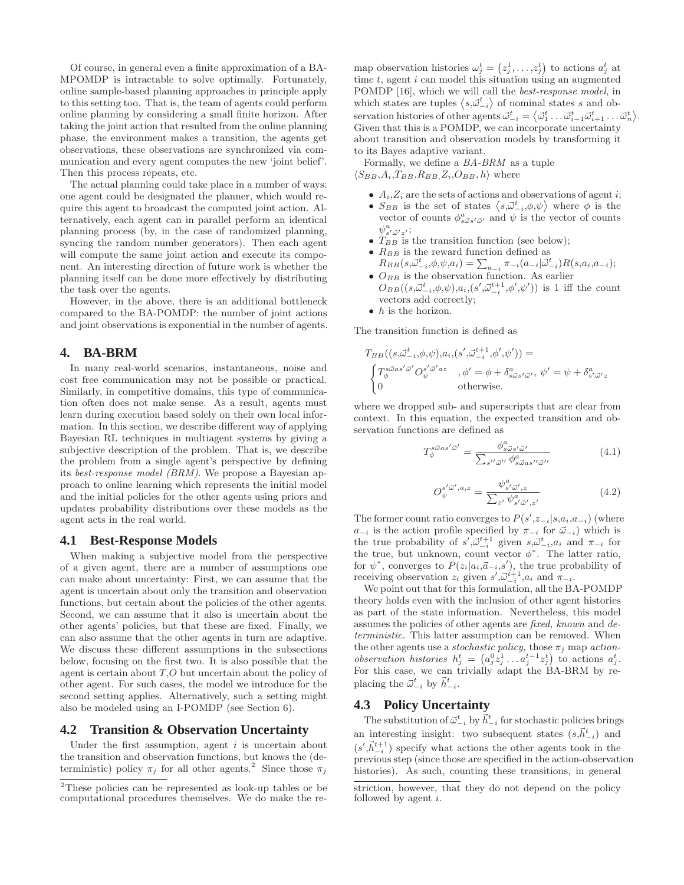Of course, in general even a finite approximation of a BA-MPOMDP is intractable to solve optimally. Fortunately, online sample-based planning approaches in principle apply to this setting too. That is, the team of agents could perform online planning by considering a small finite horizon. After taking the joint action that resulted from the online planning phase, the environment makes a transition, the agents get observations, these observations are synchronized via communication and every agent computes the new 'joint belief'. Then this process repeats, etc.

The actual planning could take place in a number of ways: one agent could be designated the planner, which would require this agent to broadcast the computed joint action. Alternatively, each agent can in parallel perform an identical planning process (by, in the case of randomized planning, syncing the random number generators). Then each agent will compute the same joint action and execute its component. An interesting direction of future work is whether the planning itself can be done more effectively by distributing the task over the agents.

However, in the above, there is an additional bottleneck compared to the BA-POMDP: the number of joint actions and joint observations is exponential in the number of agents.

## **4. BA-BRM**

In many real-world scenarios, instantaneous, noise and cost free communication may not be possible or practical. Similarly, in competitive domains, this type of communication often does not make sense. As a result, agents must learn during execution based solely on their own local information. In this section, we describe different way of applying Bayesian RL techniques in multiagent systems by giving a subjective description of the problem. That is, we describe the problem from a single agent's perspective by defining its best-response model (BRM). We propose a Bayesian approach to online learning which represents the initial model and the initial policies for the other agents using priors and updates probability distributions over these models as the agent acts in the real world.

# **4.1 Best-Response Models**

When making a subjective model from the perspective of a given agent, there are a number of assumptions one can make about uncertainty: First, we can assume that the agent is uncertain about only the transition and observation functions, but certain about the policies of the other agents. Second, we can assume that it also is uncertain about the other agents' policies, but that these are fixed. Finally, we can also assume that the other agents in turn are adaptive. We discuss these different assumptions in the subsections below, focusing on the first two. It is also possible that the agent is certain about T,O but uncertain about the policy of other agent. For such cases, the model we introduce for the second setting applies. Alternatively, such a setting might also be modeled using an I-POMDP (see Section 6).

# **4.2 Transition & Observation Uncertainty**

Under the first assumption, agent  $i$  is uncertain about the transition and observation functions, but knows the (deterministic) policy  $\pi_i$  for all other agents.<sup>2</sup> Since those  $\pi_i$ 

map observation histories  $\omega_j^t = (z_j^1, \ldots, z_j^t)$  to actions  $a_j^t$  at time  $t$ , agent  $i$  can model this situation using an augmented POMDP [16], which we will call the best-response model, in which states are tuples  $\langle s, \vec{\omega}_{-i}^t \rangle$  of nominal states s and observation histories of other agents  $\vec{\omega}_{-i}^t = \langle \vec{\omega}_1^t \dots \vec{\omega}_{i-1}^t \vec{\omega}_{i+1}^t \dots \vec{\omega}_n^t \rangle$ . Given that this is a POMDP, we can incorporate uncertainty about transition and observation models by transforming it to its Bayes adaptive variant.

Formally, we define a BA-BRM as a tuple  $\langle S_{BB}, A_i, T_{BB}, R_{BB}, Z_i, O_{BB}, h \rangle$  where

- $A_i, Z_i$  are the sets of actions and observations of agent *i*;
- $S_{BB}$  is the set of states  $\langle s, \vec{\omega}^t_{-i}, \phi, \psi \rangle$  where  $\phi$  is the vector of counts  $\phi_{s\vec{\omega}s'\vec{\omega}'}^a$  and  $\psi$  is the vector of counts  $\psi^a_{s'\vec{\omega}'z'};$
- $T_{BB}$  is the transition function (see below);
- $R_{BB}$  is the reward function defined as
- $R_{BB}(s,\vec{\omega}_{-i}^t, \phi, \psi, a_i) = \sum_{a_{-i}} \pi_{-i}(a_{-i}|\vec{\omega}_{-i}^t) R(s, a_i, a_{-i});$ •  $O_{BB}$  is the observation function. As earlier
- $O_{BB}((s,\vec{\omega}_{-i}^t,\phi,\psi),a_i,(s',\vec{\omega}_{-i}^{t+1},\phi',\psi'))$  is 1 iff the count vectors add correctly;
- $\bullet$  *h* is the horizon.

The transition function is defined as

$$
T_{BB}((s,\vec{\omega}_{-i}^t,\phi,\psi),a_i,(s',\vec{\omega}_{-i}^{t+1},\phi',\psi')) =
$$
  
\n
$$
\begin{cases}\nT_{\phi}^{s\vec{\omega}as'\vec{\omega}'}O_{\psi}^{s'\vec{\omega}'az} & , \phi' = \phi + \delta_{s\vec{\omega}s'\vec{\omega}'}, \ \psi' = \psi + \delta_{s'\vec{\omega}'z}^{a} \\
0 & \text{otherwise.} \n\end{cases}
$$

where we dropped sub- and superscripts that are clear from context. In this equation, the expected transition and observation functions are defined as

$$
T_{\phi}^{s\vec{\omega}as'\vec{\omega}'} = \frac{\phi_{s\vec{\omega}s'\vec{\omega}'}^a}{\sum_{s''\vec{\omega}''}\phi_{s\vec{\omega}as''\vec{\omega}''}^a}
$$
(4.1)

$$
O_{\psi}^{s'\vec{\omega}',a,z} = \frac{\psi_{s'\vec{\omega}',z}^a}{\sum_{z'} \psi_{s'\vec{\omega}',z'}^a} \tag{4.2}
$$

The former count ratio converges to  $P(s', z_{-i}| s, a_i, a_{-i})$  (where  $a_{-i}$  is the action profile specified by  $\pi_{-i}$  for  $\vec{\omega}_{-i}$ ) which is the true probability of  $s', \vec{\omega}_{-i}^{t+1}$  given  $s, \vec{\omega}_{-i}^{t}, a_i$  and  $\pi_{-i}$  for the true, but unknown, count vector  $\phi^*$ . The latter ratio, for  $\psi^*$ , converges to  $P(z_i|a_i,\vec{a}_{-i},s')$ , the true probability of receiving observation  $z_i$  given  $s', \vec{\omega}_{-i}^{t+1}, a_i$  and  $\pi_{-i}$ .

We point out that for this formulation, all the BA-POMDP theory holds even with the inclusion of other agent histories as part of the state information. Nevertheless, this model assumes the policies of other agents are fixed, known and deterministic. This latter assumption can be removed. When the other agents use a *stochastic policy*, those  $\pi_i$  map *action*observation histories  $h_j^t = (a_j^0 z_j^1 \dots a_j^{t-1} z_j^t)$  to actions  $a_j^t$ . For this case, we can trivially adapt the BA-BRM by replacing the  $\vec{\omega}_{-i}^t$  by  $\vec{h}_{-i}^t$ .

# **4.3 Policy Uncertainty**

The substitution of  $\vec{\omega}_{-i}^t$  by  $\vec{h}_{-i}^t$  for stochastic policies brings an interesting insight: two subsequent states  $(s,\vec{h}_{-i}^t)$  and  $(s', \vec{h}_{-i}^{t+1})$  specify what actions the other agents took in the previous step (since those are specified in the action-observation histories). As such, counting these transitions, in general

<sup>2</sup>These policies can be represented as look-up tables or be computational procedures themselves. We do make the re-

striction, however, that they do not depend on the policy followed by agent i.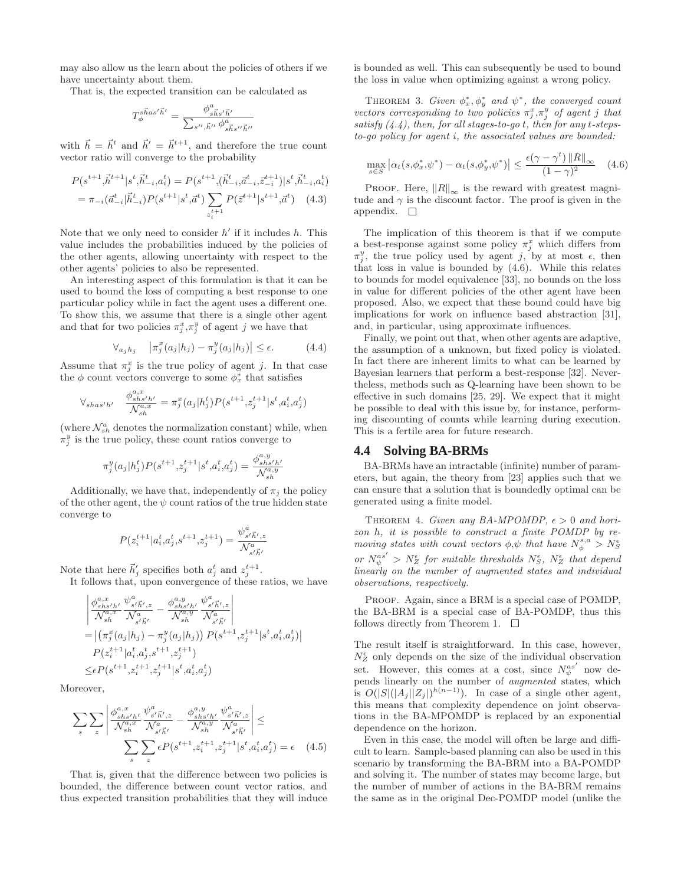may also allow us the learn about the policies of others if we have uncertainty about them.

That is, the expected transition can be calculated as

$$
T^{s\vec{h}as'\vec{h}'}_{\phi}=\frac{\phi^a_{s\vec{h}s'\vec{h}'}}{\sum_{s'',\vec{h}''}\phi^a_{s\vec{h}s''\vec{h}''}}
$$

with  $\vec{h} = \vec{h}^t$  and  $\vec{h}' = \vec{h}^{t+1}$ , and therefore the true count vector ratio will converge to the probability

$$
P(s^{t+1}, \vec{h}^{t+1} | s^t, \vec{h}^t_{-i}, a_i^t) = P(s^{t+1}, (\vec{h}^t_{-i}, \vec{a}^t_{-i}, z_{-i}^{t+1}) | s^t, \vec{h}^t_{-i}, a_i^t)
$$
  
=  $\pi_{-i}(\vec{a}^t_{-i} | \vec{h}^t_{-i}) P(s^{t+1} | s^t, \vec{a}^t) \sum_{z_i^{t+1}} P(\vec{z}^{t+1} | s^{t+1}, \vec{a}^t) \quad (4.3)$ 

Note that we only need to consider  $h'$  if it includes  $h$ . This value includes the probabilities induced by the policies of the other agents, allowing uncertainty with respect to the other agents' policies to also be represented.

An interesting aspect of this formulation is that it can be used to bound the loss of computing a best response to one particular policy while in fact the agent uses a different one. To show this, we assume that there is a single other agent and that for two policies  $\pi_j^x, \pi_j^y$  of agent j we have that

$$
\forall_{a_j h_j} \quad \left| \pi_j^x(a_j|h_j) - \pi_j^y(a_j|h_j) \right| \le \epsilon. \tag{4.4}
$$

Assume that  $\pi_j^x$  is the true policy of agent j. In that case the  $\phi$  count vectors converge to some  $\phi_x^*$  that satisfies

$$
\forall_{shas'h'} \quad \frac{\phi_{shs'h'}^{a,x}}{\mathcal{N}_{sh}^{a,x}} = \pi_j^x(a_j|h_j^t)P(s^{t+1},z_j^{t+1}|s^t,a_i^t,a_j^t)
$$

(where  $\mathcal{N}_{sh}^a$  denotes the normalization constant) while, when  $\pi_j^y$  is the true policy, these count ratios converge to

$$
\pi_j^y(a_j|h_j^t)P(s^{t+1},z_j^{t+1}|s^t,a_i^t,a_j^t) = \frac{\phi_{shs'h'}^{a,y}}{\mathcal{N}_{sh}^{a,y}}
$$

Additionally, we have that, independently of  $\pi_j$  the policy of the other agent, the  $\psi$  count ratios of the true hidden state converge to

$$
P(z_i^{t+1}|a_i^t, a_j^t, s^{t+1}, z_j^{t+1}) = \frac{\psi_{s'\vec{h}',z}^a}{\mathcal{N}_{s'\vec{h}'}}.
$$

Note that here  $\vec{h}'_j$  specifies both  $a_j^t$  and  $z_j^{t+1}$ .

It follows that, upon convergence of these ratios, we have

$$
\begin{split} &\left| \frac{\phi_{shs'h'}^{a,x}}{\mathcal{N}_{sh}^{a,x}} \frac{\psi_{s'h',z}^{a}}{\mathcal{N}_{s'h'}^{a,x}} - \frac{\phi_{shs'h'}^{a,y}}{\mathcal{N}_{sh}^{a,y}} \frac{\psi_{s'h',z}^{a}}{\mathcal{N}_{s'h}^{a}} \right| \\ =& \left| \left( \pi_j^x(a_j|h_j) - \pi_j^y(a_j|h_j) \right) P(s^{t+1}, z_j^{t+1} | s^t, a_i^t, a_j^t) \right| \\ & P(z_i^{t+1} | a_i^t, a_j^t, s^{t+1}, z_j^{t+1}) \\ \leq & \epsilon P(s^{t+1}, z_i^{t+1}, z_j^{t+1} | s^t, a_i^t, a_j^t) \end{split}
$$

Moreover,

$$
\sum_{s} \sum_{z} \left| \frac{\phi_{shs'h'}^{a,x}}{\mathcal{N}_{sh}^{a,x}} \frac{\psi_{s'\vec{h}',z}^{a}}{\mathcal{N}_{s'\vec{h}'}^{a}} - \frac{\phi_{shs'h'}^{a,y}}{\mathcal{N}_{sh}^{a,y}} \frac{\psi_{s'\vec{h}',z}^{a}}{\mathcal{N}_{s'\vec{h}'}^{a,y}} \right| \le
$$

$$
\sum_{s} \sum_{z} \epsilon P(s^{t+1}, z_i^{t+1}, z_j^{t+1} | s^t, a_i^t, a_j^t) = \epsilon \quad (4.5)
$$

That is, given that the difference between two policies is bounded, the difference between count vector ratios, and thus expected transition probabilities that they will induce

is bounded as well. This can subsequently be used to bound the loss in value when optimizing against a wrong policy.

THEOREM 3. Given  $\phi_x^*, \phi_y^*$  and  $\psi^*$ , the converged count vectors corresponding to two policies  $\pi_j^x, \pi_j^y$  of agent j that satisfy  $(4.4)$ , then, for all stages-to-go t, then for any t-stepsto-go policy for agent i, the associated values are bounded:

$$
\max_{s \in S} \left| \alpha_t(s, \phi_x^*, \psi^*) - \alpha_t(s, \phi_y^*, \psi^*) \right| \le \frac{\epsilon(\gamma - \gamma^t) \|R\|_{\infty}}{(1 - \gamma)^2} \tag{4.6}
$$

PROOF. Here,  $||R||_{\infty}$  is the reward with greatest magnitude and  $\gamma$  is the discount factor. The proof is given in the appendix.  $\square$ 

The implication of this theorem is that if we compute a best-response against some policy  $\pi_j^x$  which differs from  $\pi_j^y$ , the true policy used by agent j, by at most  $\epsilon$ , then that loss in value is bounded by (4.6). While this relates to bounds for model equivalence [33], no bounds on the loss in value for different policies of the other agent have been proposed. Also, we expect that these bound could have big implications for work on influence based abstraction [31], and, in particular, using approximate influences.

Finally, we point out that, when other agents are adaptive, the assumption of a unknown, but fixed policy is violated. In fact there are inherent limits to what can be learned by Bayesian learners that perform a best-response [32]. Nevertheless, methods such as Q-learning have been shown to be effective in such domains [25, 29]. We expect that it might be possible to deal with this issue by, for instance, performing discounting of counts while learning during execution. This is a fertile area for future research.

### **4.4 Solving BA-BRMs**

BA-BRMs have an intractable (infinite) number of parameters, but again, the theory from [23] applies such that we can ensure that a solution that is boundedly optimal can be generated using a finite model.

THEOREM 4. Given any BA-MPOMDP,  $\epsilon > 0$  and horizon h, it is possible to construct a finite POMDP by removing states with count vectors  $\phi, \psi$  that have  $N_{\phi}^{s,a} > N_{S}^{\epsilon}$ or  $N_{\psi}^{as'} > N_{Z}^{\epsilon}$  for suitable thresholds  $N_{S}^{\epsilon}$ ,  $N_{Z}^{\epsilon}$  that depend linearly on the number of augmented states and individual observations, respectively.

PROOF. Again, since a BRM is a special case of POMDP, the BA-BRM is a special case of BA-POMDP, thus this follows directly from Theorem 1.  $\Box$ 

The result itself is straightforward. In this case, however,  $N_Z^{\epsilon}$  only depends on the size of the individual observation set. However, this comes at a cost, since  $N_{\psi}^{as'}$  now depends linearly on the number of augmented states, which is  $O(|S|(|A_j||Z_j|)^{h(n-1)})$ . In case of a single other agent, this means that complexity dependence on joint observations in the BA-MPOMDP is replaced by an exponential dependence on the horizon.

Even in this case, the model will often be large and difficult to learn. Sample-based planning can also be used in this scenario by transforming the BA-BRM into a BA-POMDP and solving it. The number of states may become large, but the number of number of actions in the BA-BRM remains the same as in the original Dec-POMDP model (unlike the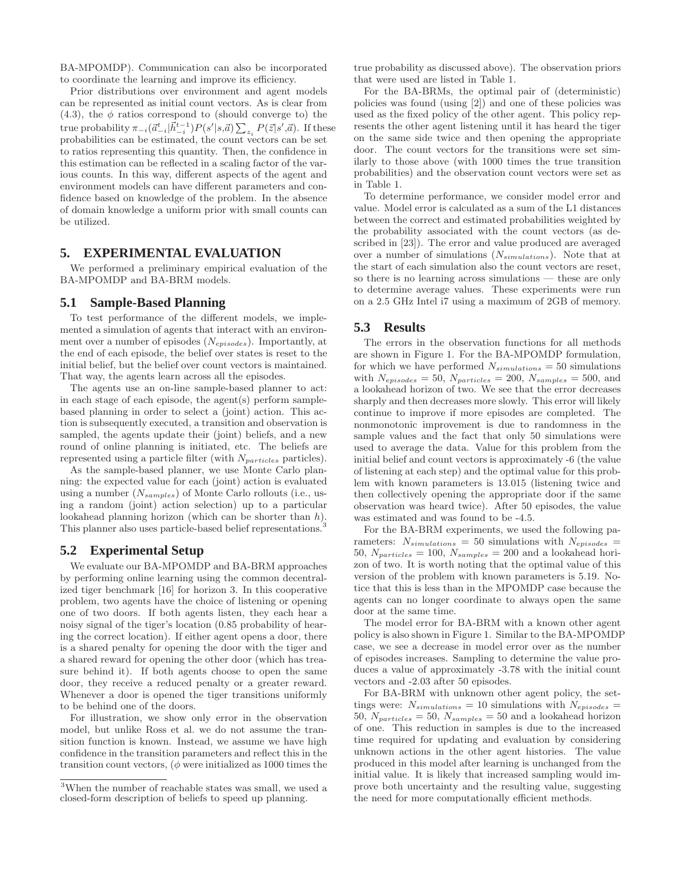BA-MPOMDP). Communication can also be incorporated to coordinate the learning and improve its efficiency.

Prior distributions over environment and agent models can be represented as initial count vectors. As is clear from  $(4.3)$ , the  $\phi$  ratios correspond to (should converge to) the true probability  $\pi_{-i}(\vec{a}_{-i}^t | \vec{h}_{-i}^{t-1}) P(s'|s,\vec{a}) \sum_{z_i} P(\vec{z}|s',\vec{a})$ . If these probabilities can be estimated, the count vectors can be set to ratios representing this quantity. Then, the confidence in this estimation can be reflected in a scaling factor of the various counts. In this way, different aspects of the agent and environment models can have different parameters and confidence based on knowledge of the problem. In the absence of domain knowledge a uniform prior with small counts can be utilized.

# **5. EXPERIMENTAL EVALUATION**

We performed a preliminary empirical evaluation of the BA-MPOMDP and BA-BRM models.

# **5.1 Sample-Based Planning**

To test performance of the different models, we implemented a simulation of agents that interact with an environment over a number of episodes  $(N_{enisodes})$ . Importantly, at the end of each episode, the belief over states is reset to the initial belief, but the belief over count vectors is maintained. That way, the agents learn across all the episodes.

The agents use an on-line sample-based planner to act: in each stage of each episode, the agent(s) perform samplebased planning in order to select a (joint) action. This action is subsequently executed, a transition and observation is sampled, the agents update their (joint) beliefs, and a new round of online planning is initiated, etc. The beliefs are represented using a particle filter (with  $N_{particles}$  particles).

As the sample-based planner, we use Monte Carlo planning: the expected value for each (joint) action is evaluated using a number  $(N_{samples})$  of Monte Carlo rollouts (i.e., using a random (joint) action selection) up to a particular lookahead planning horizon (which can be shorter than h). This planner also uses particle-based belief representations.<sup>3</sup>

# **5.2 Experimental Setup**

We evaluate our BA-MPOMDP and BA-BRM approaches by performing online learning using the common decentralized tiger benchmark [16] for horizon 3. In this cooperative problem, two agents have the choice of listening or opening one of two doors. If both agents listen, they each hear a noisy signal of the tiger's location (0.85 probability of hearing the correct location). If either agent opens a door, there is a shared penalty for opening the door with the tiger and a shared reward for opening the other door (which has treasure behind it). If both agents choose to open the same door, they receive a reduced penalty or a greater reward. Whenever a door is opened the tiger transitions uniformly to be behind one of the doors.

For illustration, we show only error in the observation model, but unlike Ross et al. we do not assume the transition function is known. Instead, we assume we have high confidence in the transition parameters and reflect this in the transition count vectors,  $(\phi$  were initialized as 1000 times the

true probability as discussed above). The observation priors that were used are listed in Table 1.

For the BA-BRMs, the optimal pair of (deterministic) policies was found (using [2]) and one of these policies was used as the fixed policy of the other agent. This policy represents the other agent listening until it has heard the tiger on the same side twice and then opening the appropriate door. The count vectors for the transitions were set similarly to those above (with 1000 times the true transition probabilities) and the observation count vectors were set as in Table 1.

To determine performance, we consider model error and value. Model error is calculated as a sum of the L1 distances between the correct and estimated probabilities weighted by the probability associated with the count vectors (as described in [23]). The error and value produced are averaged over a number of simulations  $(N_{simulations})$ . Note that at the start of each simulation also the count vectors are reset, so there is no learning across simulations — these are only to determine average values. These experiments were run on a 2.5 GHz Intel i7 using a maximum of 2GB of memory.

### **5.3 Results**

The errors in the observation functions for all methods are shown in Figure 1. For the BA-MPOMDP formulation, for which we have performed  $N_{simulations} = 50$  simulations with  $N_{episodes} = 50$ ,  $N_{particles} = 200$ ,  $N_{samples} = 500$ , and a lookahead horizon of two. We see that the error decreases sharply and then decreases more slowly. This error will likely continue to improve if more episodes are completed. The nonmonotonic improvement is due to randomness in the sample values and the fact that only 50 simulations were used to average the data. Value for this problem from the initial belief and count vectors is approximately -6 (the value of listening at each step) and the optimal value for this problem with known parameters is 13.015 (listening twice and then collectively opening the appropriate door if the same observation was heard twice). After 50 episodes, the value was estimated and was found to be -4.5.

For the BA-BRM experiments, we used the following parameters:  $N_{simulations} = 50$  simulations with  $N_{episodes} =$ 50,  $N_{particles} = 100$ ,  $N_{samples} = 200$  and a lookahead horizon of two. It is worth noting that the optimal value of this version of the problem with known parameters is 5.19. Notice that this is less than in the MPOMDP case because the agents can no longer coordinate to always open the same door at the same time.

The model error for BA-BRM with a known other agent policy is also shown in Figure 1. Similar to the BA-MPOMDP case, we see a decrease in model error over as the number of episodes increases. Sampling to determine the value produces a value of approximately -3.78 with the initial count vectors and -2.03 after 50 episodes.

For BA-BRM with unknown other agent policy, the settings were:  $N_{simulations} = 10$  simulations with  $N_{episodes} =$ 50,  $N_{particles} = 50$ ,  $N_{samples} = 50$  and a lookahead horizon of one. This reduction in samples is due to the increased time required for updating and evaluation by considering unknown actions in the other agent histories. The value produced in this model after learning is unchanged from the initial value. It is likely that increased sampling would improve both uncertainty and the resulting value, suggesting the need for more computationally efficient methods.

<sup>3</sup>When the number of reachable states was small, we used a closed-form description of beliefs to speed up planning.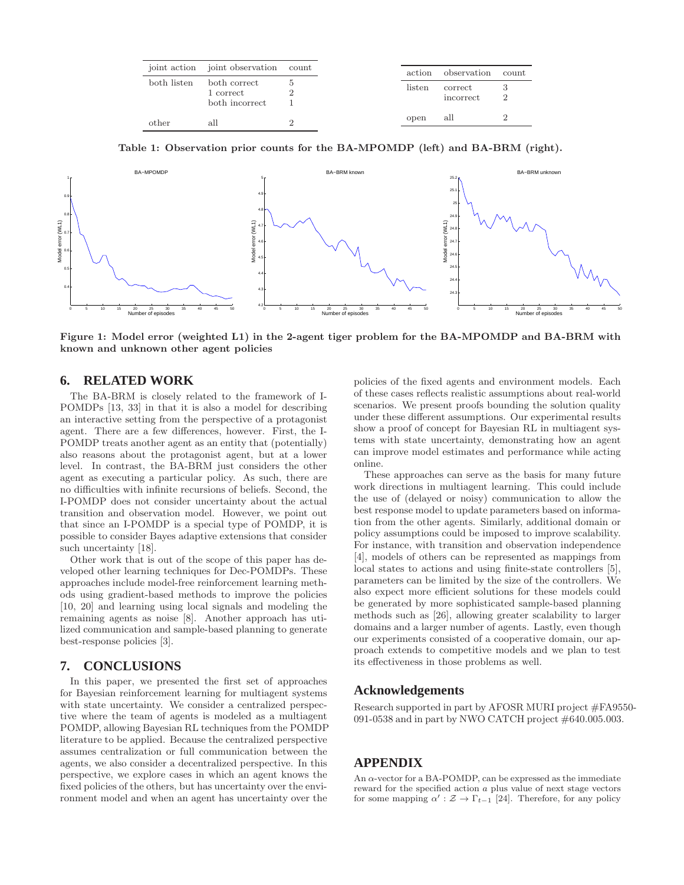|             | joint action joint observation count        |  |
|-------------|---------------------------------------------|--|
| both listen | both correct<br>1 correct<br>both incorrect |  |
| other       | all                                         |  |

Table 1: Observation prior counts for the BA-MPOMDP (left) and BA-BRM (right).



Figure 1: Model error (weighted L1) in the 2-agent tiger problem for the BA-MPOMDP and BA-BRM with known and unknown other agent policies

# **6. RELATED WORK**

The BA-BRM is closely related to the framework of I-POMDPs [13, 33] in that it is also a model for describing an interactive setting from the perspective of a protagonist agent. There are a few differences, however. First, the I-POMDP treats another agent as an entity that (potentially) also reasons about the protagonist agent, but at a lower level. In contrast, the BA-BRM just considers the other agent as executing a particular policy. As such, there are no difficulties with infinite recursions of beliefs. Second, the I-POMDP does not consider uncertainty about the actual transition and observation model. However, we point out that since an I-POMDP is a special type of POMDP, it is possible to consider Bayes adaptive extensions that consider such uncertainty [18].

Other work that is out of the scope of this paper has developed other learning techniques for Dec-POMDPs. These approaches include model-free reinforcement learning methods using gradient-based methods to improve the policies [10, 20] and learning using local signals and modeling the remaining agents as noise [8]. Another approach has utilized communication and sample-based planning to generate best-response policies [3].

# **7. CONCLUSIONS**

In this paper, we presented the first set of approaches for Bayesian reinforcement learning for multiagent systems with state uncertainty. We consider a centralized perspective where the team of agents is modeled as a multiagent POMDP, allowing Bayesian RL techniques from the POMDP literature to be applied. Because the centralized perspective assumes centralization or full communication between the agents, we also consider a decentralized perspective. In this perspective, we explore cases in which an agent knows the fixed policies of the others, but has uncertainty over the environment model and when an agent has uncertainty over the

policies of the fixed agents and environment models. Each of these cases reflects realistic assumptions about real-world scenarios. We present proofs bounding the solution quality under these different assumptions. Our experimental results show a proof of concept for Bayesian RL in multiagent systems with state uncertainty, demonstrating how an agent can improve model estimates and performance while acting online.

These approaches can serve as the basis for many future work directions in multiagent learning. This could include the use of (delayed or noisy) communication to allow the best response model to update parameters based on information from the other agents. Similarly, additional domain or policy assumptions could be imposed to improve scalability. For instance, with transition and observation independence [4], models of others can be represented as mappings from local states to actions and using finite-state controllers [5], parameters can be limited by the size of the controllers. We also expect more efficient solutions for these models could be generated by more sophisticated sample-based planning methods such as [26], allowing greater scalability to larger domains and a larger number of agents. Lastly, even though our experiments consisted of a cooperative domain, our approach extends to competitive models and we plan to test its effectiveness in those problems as well.

# **Acknowledgements**

Research supported in part by AFOSR MURI project #FA9550-091-0538 and in part by NWO CATCH project #640.005.003.

# **APPENDIX**

An  $\alpha$ -vector for a BA-POMDP, can be expressed as the immediate reward for the specified action a plus value of next stage vectors for some mapping  $\alpha' : \mathcal{Z} \to \Gamma_{t-1}$  [24]. Therefore, for any policy